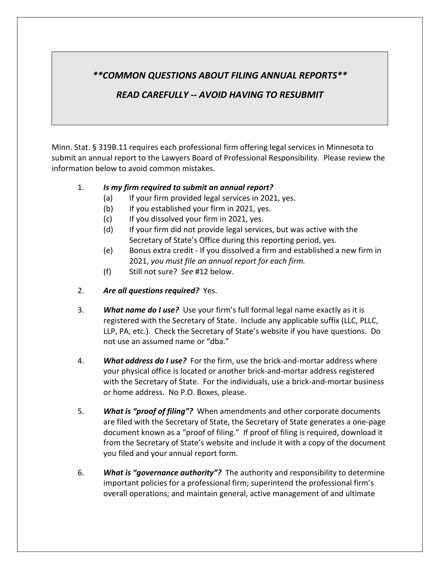## *\*\*COMMON QUESTIONS ABOUT FILING ANNUAL REPORTS\*\**

## *READ CAREFULLY -- AVOID HAVING TO RESUBMIT*

Minn. Stat. § 319B.11 requires each professional firm offering legal services in Minnesota to submit an annual report to the Lawyers Board of Professional Responsibility. Please review the information below to avoid common mistakes.

## 1. *Is my firm required to submit an annual report?*

- (a) If your firm provided legal services in 2021, yes.
- (b) If you established your firm in 2021, yes.
- (c) If you dissolved your firm in 2021, yes.
- (d) If your firm did not provide legal services, but was active with the Secretary of State's Office during this reporting period, yes.
- (e) Bonus extra credit If you dissolved a firm and established a new firm in 2021, *you must file an annual report for each firm.*
- (f) Still not sure? *See* #12 below.
- 2. *Are all questions required?* Yes.
- 3. *What name do I use?* Use your firm's full formal legal name exactly as it is registered with the Secretary of State. Include any applicable suffix (LLC, PLLC, LLP, PA, etc.). Check the Secretary of State's website if you have questions. Do not use an assumed name or "dba."
- 4. *What address do I use?* For the firm, use the brick-and-mortar address where your physical office is located or another brick-and-mortar address registered with the Secretary of State. For the individuals, use a brick-and-mortar business or home address. No P.O. Boxes, please.
- 5. *What is "proof of filing"?* When amendments and other corporate documents are filed with the Secretary of State, the Secretary of State generates a one-page document known as a "proof of filing." If proof of filing is required, download it from the Secretary of State's website and include it with a copy of the document you filed and your annual report form.
- 6. *What is "governance authority"?* The authority and responsibility to determine important policies for a professional firm; superintend the professional firm's overall operations; and maintain general, active management of and ultimate